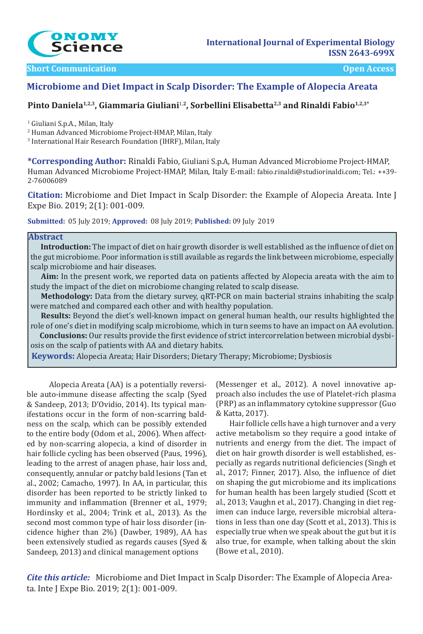

### **Short Communication Communication Communication Communication Communication Communication Communication**

# **Microbiome and Diet Impact in Scalp Disorder: The Example of Alopecia Areata**

# Pinto Daniela<sup>1,2,3</sup>, Giammaria Giuliani<sup>1,2</sup>, Sorbellini Elisabetta<sup>2,3</sup> and Rinaldi Fabio<sup>1,2,3\*</sup>

1 Giuliani S.p.A., Milan, Italy

2 Human Advanced Microbiome Project-HMAP, Milan, Italy

3 International Hair Research Foundation (IHRF), Milan, Italy

**\*Corresponding Author:** Rinaldi Fabio, Giuliani S.p.A, Human Advanced Microbiome Project-HMAP, Human Advanced Microbiome Project-HMAP, Milan, Italy E-mail: fabio.rinaldi@studiorinaldi.com; Tel.: ++39- 2-76006089

**Citation:** Microbiome and Diet Impact in Scalp Disorder: the Example of Alopecia Areata. Inte J Expe Bio. 2019; 2(1): 001-009.

**Submitted:** 05 July 2019; **Approved:** 08 July 2019; **Published:** 09 July 2019

### **Abstract**

 **Introduction:** The impact of diet on hair growth disorder is well established as the influence of diet on the gut microbiome. Poor information is still available as regards the link between microbiome, especially scalp microbiome and hair diseases.

 **Aim:** In the present work, we reported data on patients affected by Alopecia areata with the aim to study the impact of the diet on microbiome changing related to scalp disease.

 **Methodology:** Data from the dietary survey, qRT-PCR on main bacterial strains inhabiting the scalp were matched and compared each other and with healthy population.

 **Results:** Beyond the diet's well-known impact on general human health, our results highlighted the role of one's diet in modifying scalp microbiome, which in turn seems to have an impact on AA evolution.

 **Conclusions:** Our results provide the first evidence of strict intercorrelation between microbial dysbiosis on the scalp of patients with AA and dietary habits.

**Keywords:** Alopecia Areata; Hair Disorders; Dietary Therapy; Microbiome; Dysbiosis

 Alopecia Areata (AA) is a potentially reversible auto-immune disease affecting the scalp (Syed & Sandeep, 2013; D'Ovidio, 2014). Its typical manifestations occur in the form of non-scarring baldness on the scalp, which can be possibly extended to the entire body (Odom et al., 2006). When affected by non-scarring alopecia, a kind of disorder in hair follicle cycling has been observed (Paus, 1996), leading to the arrest of anagen phase, hair loss and, consequently, annular or patchy bald lesions (Tan et al., 2002; Camacho, 1997). In AA, in particular, this disorder has been reported to be strictly linked to immunity and inflammation (Brenner et al., 1979; Hordinsky et al., 2004; Trink et al., 2013). As the second most common type of hair loss disorder (incidence higher than 2%) (Dawber, 1989), AA has been extensively studied as regards causes (Syed & Sandeep, 2013) and clinical management options

(Messenger et al., 2012). A novel innovative approach also includes the use of Platelet-rich plasma (PRP) as an inflammatory cytokine suppressor (Guo & Katta, 2017).

 Hair follicle cells have a high turnover and a very active metabolism so they require a good intake of nutrients and energy from the diet. The impact of diet on hair growth disorder is well established, especially as regards nutritional deficiencies (Singh et al., 2017; Finner, 2017). Also, the influence of diet on shaping the gut microbiome and its implications for human health has been largely studied (Scott et al., 2013; Vaughn et al., 2017). Changing in diet regimen can induce large, reversible microbial alterations in less than one day (Scott et al., 2013). This is especially true when we speak about the gut but it is also true, for example, when talking about the skin (Bowe et al., 2010).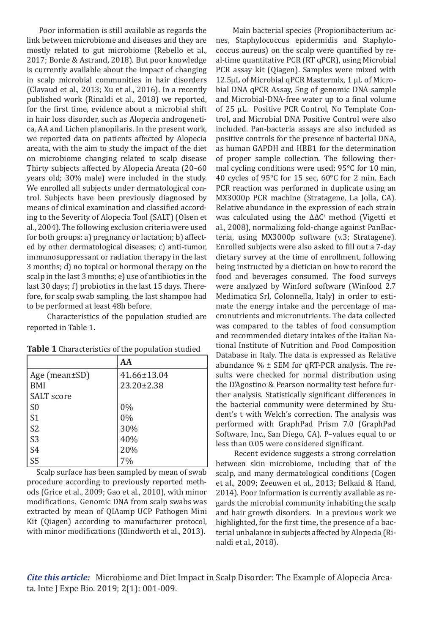Poor information is still available as regards the link between microbiome and diseases and they are mostly related to gut microbiome (Rebello et al., 2017; Borde & Astrand, 2018). But poor knowledge is currently available about the impact of changing in scalp microbial communities in hair disorders (Clavaud et al., 2013; Xu et al., 2016). In a recently published work (Rinaldi et al., 2018) we reported, for the first time, evidence about a microbial shift in hair loss disorder, such as Alopecia androgenetica, AA and Lichen planopilaris. In the present work, we reported data on patients affected by Alopecia areata, with the aim to study the impact of the diet on microbiome changing related to scalp disease Thirty subjects affected by Alopecia Areata (20–60 years old; 30% male) were included in the study. We enrolled all subjects under dermatological control. Subjects have been previously diagnosed by means of clinical examination and classified according to the Severity of Alopecia Tool (SALT) (Olsen et al., 2004). The following exclusion criteria were used for both groups: a) pregnancy or lactation; b) affected by other dermatological diseases; c) anti-tumor, immunosuppressant or radiation therapy in the last 3 months; d) no topical or hormonal therapy on the scalp in the last 3 months; e) use of antibiotics in the last 30 days; f) probiotics in the last 15 days. Therefore, for scalp swab sampling, the last shampoo had to be performed at least 48h before.

 Characteristics of the population studied are reported in Table 1.

| Table 1 Characteristics of the population studied |  |  |
|---------------------------------------------------|--|--|
|                                                   |  |  |

|                   | AA          |  |
|-------------------|-------------|--|
| Age (mean±SD)     | 41.66±13.04 |  |
| <b>BMI</b>        | 23.20±2.38  |  |
| <b>SALT</b> score |             |  |
| S <sub>0</sub>    | 0%          |  |
| $\vert$ S1        | $0\%$       |  |
| S <sub>2</sub>    | 30%         |  |
| S <sub>3</sub>    | 40%         |  |
| S <sub>4</sub>    | 20%         |  |
| S <sub>5</sub>    | 7%          |  |

 Scalp surface has been sampled by mean of swab procedure according to previously reported methods (Grice et al., 2009; Gao et al., 2010), with minor modifications. Genomic DNA from scalp swabs was extracted by mean of QIAamp UCP Pathogen Mini Kit (Qiagen) according to manufacturer protocol, with minor modifications (Klindworth et al., 2013).

 Main bacterial species (Propionibacterium acnes, Staphylococcus epidermidis and Staphylococcus aureus) on the scalp were quantified by real-time quantitative PCR (RT qPCR), using Microbial PCR assay kit (Qiagen). Samples were mixed with 12.5μL of Microbial qPCR Mastermix, 1 μL of Microbial DNA qPCR Assay, 5ng of genomic DNA sample and Microbial-DNA-free water up to a final volume of 25 μL. Positive PCR Control, No Template Control, and Microbial DNA Positive Control were also included. Pan-bacteria assays are also included as positive controls for the presence of bacterial DNA, as human GAPDH and HBB1 for the determination of proper sample collection. The following thermal cycling conditions were used: 95°C for 10 min, 40 cycles of 95°C for 15 sec, 60°C for 2 min. Each PCR reaction was performed in duplicate using an MX3000p PCR machine (Stratagene, La Jolla, CA). Relative abundance in the expression of each strain was calculated using the  $ΔΔC<sup>t</sup>$  method (Vigetti et al., 2008), normalizing fold-change against PanBacteria, using MX3000p software (v.3; Stratagene). Enrolled subjects were also asked to fill out a 7-day dietary survey at the time of enrollment, following being instructed by a dietician on how to record the food and beverages consumed. The food surveys were analyzed by Winford software (Winfood 2.7 Medimatica Srl, Colonnella, Italy) in order to estimate the energy intake and the percentage of macronutrients and micronutrients. The data collected was compared to the tables of food consumption and recommended dietary intakes of the Italian National Institute of Nutrition and Food Composition Database in Italy. The data is expressed as Relative abundance  $\%$   $\pm$  SEM for qRT-PCR analysis. The results were checked for normal distribution using the D'Agostino & Pearson normality test before further analysis. Statistically significant differences in the bacterial community were determined by Student's t with Welch's correction. The analysis was performed with GraphPad Prism 7.0 (GraphPad Software, Inc., San Diego, CA). P–values equal to or less than 0.05 were considered significant.

 Recent evidence suggests a strong correlation between skin microbiome, including that of the scalp, and many dermatological conditions (Cogen et al., 2009; Zeeuwen et al., 2013; Belkaid & Hand, 2014). Poor information is currently available as regards the microbial community inhabiting the scalp and hair growth disorders. In a previous work we highlighted, for the first time, the presence of a bacterial unbalance in subjects affected by Alopecia (Rinaldi et al., 2018).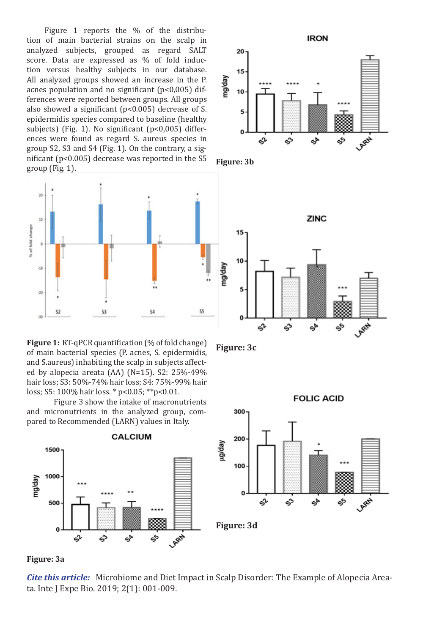Figure 1 reports the % of the distribution of main bacterial strains on the scalp in analyzed subjects, grouped as regard SALT score. Data are expressed as % of fold induction versus healthy subjects in our database. All analyzed groups showed an increase in the P. acnes population and no significant (p<0,005) differences were reported between groups. All groups also showed a significant (p<0.005) decrease of S. epidermidis species compared to baseline (healthy subjects) (Fig. 1). No significant (p<0,005) differences were found as regard S. aureus species in group S2, S3 and S4 (Fig. 1). On the contrary, a significant (p<0.005) decrease was reported in the S5 group (Fig. 1).



**Figure 1:** RT-qPCR quantification (% of fold change) of main bacterial species (P. acnes, S. epidermidis, and S.aureus) inhabiting the scalp in subjects affected by alopecia areata (AA) (N=15). S2: 25%-49% hair loss; S3: 50%-74% hair loss; S4: 75%-99% hair loss; S5: 100% hair loss. \* p<0.05; \*\*p<0.01.

 Figure 3 show the intake of macronutrients and micronutrients in the analyzed group, compared to Recommended (LARN) values in Italy.





*Cite this article:* Microbiome and Diet Impact in Scalp Disorder: The Example of Alopecia Areata. Inte J Expe Bio. 2019; 2(1): 001-009.









300

**FOLIC ACID** 

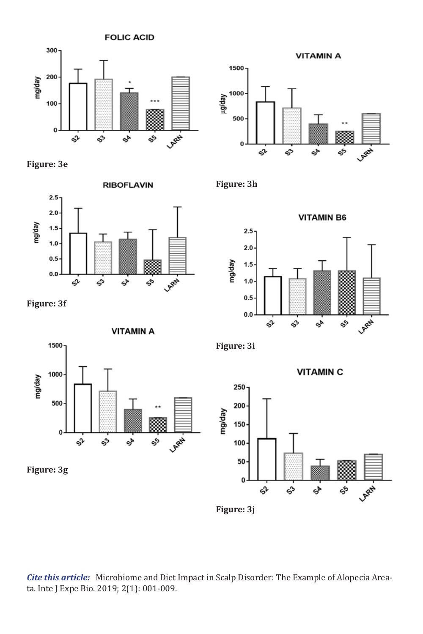

**Figure: 3e**



**Figure: 3f**



**Figure: 3h**





**Figure: 3i**

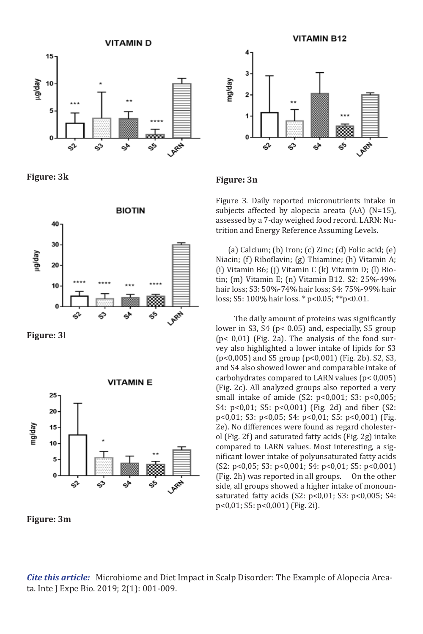

**Figure: 3k**



**Figure: 3l**



**Figure: 3m**



## **Figure: 3n**

Figure 3. Daily reported micronutrients intake in subjects affected by alopecia areata (AA) (N=15), assessed by a 7-day weighed food record. LARN: Nu trition and Energy Reference Assuming Levels.

(a) Calcium; (b) Iron; (c) Zinc; (d) Folic acid;  $(e)$ Niacin; (f) Riboflavin; (g) Thiamine; (h) Vitamin A; (i) Vitamin B6; (j) Vitamin C (k) Vitamin D; (l) Bio tin; (m) Vitamin E; (n) Vitamin B12. S2: 25%-49% hair loss; S3: 50%-74% hair loss; S4: 75%-99% hair loss; S5: 100% hair loss. \* p<0.05; \*\*p<0.01.

 The daily amount of proteins was significantly lower in S3, S4 (p< 0.05) and, especially, S5 group (p< 0,01) (Fig. 2a). The analysis of the food sur vey also highlighted a lower intake of lipids for S3 (p<0,005) and S5 group (p<0,001) (Fig. 2b). S2, S3, and S4 also showed lower and comparable intake of carbohydrates compared to LARN values (p< 0,005) (Fig. 2c). All analyzed groups also reported a very small intake of amide (S2: p<0,001; S3: p<0,005; S4: p<0,01; S5: p<0,001) (Fig. 2d) and fiber (S2: p<0,01; S3: p<0,05; S4: p<0,01; S5: p<0,001) (Fig. 2e). No differences were found as regard cholester ol (Fig. 2f) and saturated fatty acids (Fig. 2g) intake compared to LARN values. Most interesting, a sig nificant lower intake of polyunsaturated fatty acids (S2: p<0,05; S3: p<0,001; S4: p<0,01; S5: p<0,001)<br>(Fig. 2h) was reported in all groups. On the other (Fig. 2h) was reported in all groups. side, all groups showed a higher intake of monoun saturated fatty acids (S2: p<0,01; S3: p<0,005; S4: p<0,01; S5: p<0,001) (Fig. 2i).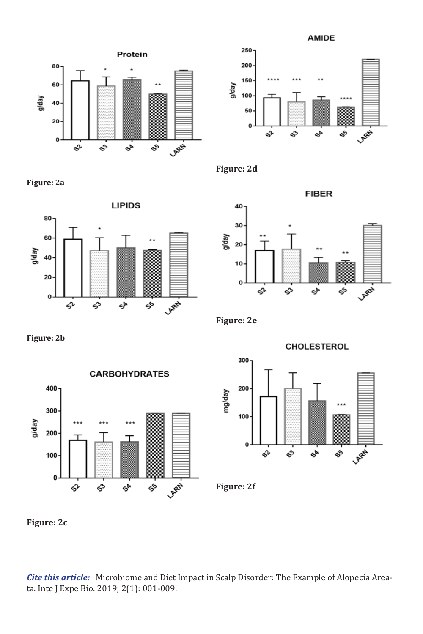**AMIDE** 



**Figure: 2a**









**Figure: 2b**



**Figure: 2e**

mg/day

**CHOLESTEROL** 300 200 100

కీ

LARA

ళ

**Figure: 2f**

O

ςV

ఫి

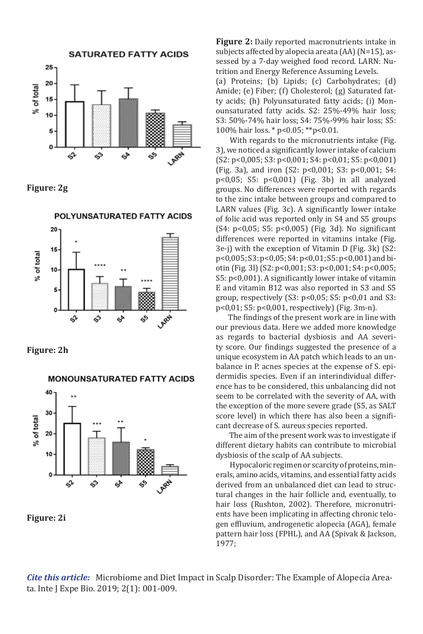





**Figure: 2h**

MONOUNSATURATED FATTY ACIDS 40 30 % of total 20 10 n **LAREN** еÞ ςV ఫొ



**Figure 2:** Daily reported macronutrients intake in subjects affected by alopecia areata (AA) (N=15), as sessed by a 7-day weighed food record. LARN: Nu trition and Energy Reference Assuming Levels.

(a) Proteins; (b) Lipids; (c) Carbohydrates; (d) Amide; (e) Fiber; (f) Cholesterol; (g) Saturated fat ty acids; (h) Polyunsaturated fatty acids; (i) Mon ounsaturated fatty acids. S2: 25%-49% hair loss; S3: 50%-74% hair loss; S4: 75%-99% hair loss; S5: 100% hair loss. \* p<0.05; \*\*p<0.01.

 With regards to the micronutrients intake (Fig. 3), we noticed a significantly lower intake of calcium (S2: p<0,005; S3: p<0,001; S4: p<0,01; S5: p<0,001) (Fig. 3a), and iron (S2: p<0,001; S3: p<0,001; S4: p<0,05; S5: p<0,001) (Fig. 3b) in all analyzed groups. No differences were reported with regards to the zinc intake between groups and compared to LARN values (Fig. 3c). A significantly lower intake of folic acid was reported only in S4 and S5 groups (S4: p<0,05; S5: p<0,005) (Fig. 3d). No significant differences were reported in vitamins intake (Fig. 3e-j) with the exception of Vitamin D (Fig. 3k) (S2: p<0,005; S3: p<0,05; S4: p<0,01; S5: p<0,001) and bi otin (Fig. 3l) (S2: p<0,001; S3: p<0,001; S4: p<0,005; S5: p<0,001). A significantly lower intake of vitamin E and vitamin B12 was also reported in S3 and S5 group, respectively  $(S3: p<0.05; S5: p<0.01$  and S3: p<0,01; S5: p<0,001, respectively) (Fig. 3m-n).

 The findings of the present work are in line with our previous data. Here we added more knowledge as regards to bacterial dysbiosis and AA severi ty score. Our findings suggested the presence of a unique ecosystem in AA patch which leads to an un balance in P. acnes species at the expense of S. epi dermidis species. Even if an interindividual differ ence has to be considered, this unbalancing did not seem to be correlated with the severity of AA, with the exception of the more severe grade (S5, as SALT score level) in which there has also been a signifi cant decrease of S. aureus species reported.

 The aim of the present work was to investigate if different dietary habits can contribute to microbial dysbiosis of the scalp of AA subjects.

 Hypocaloric regimen or scarcity of proteins, min erals, amino acids, vitamins, and essential fatty acids derived from an unbalanced diet can lead to structural changes in the hair follicle and, eventually, to hair loss (Rushton, 2002). Therefore, micronutri ents have been implicating in affecting chronic telo gen effluvium, androgenetic alopecia (AGA), female pattern hair loss (FPHL), and AA (Spivak & Jackson, 1977;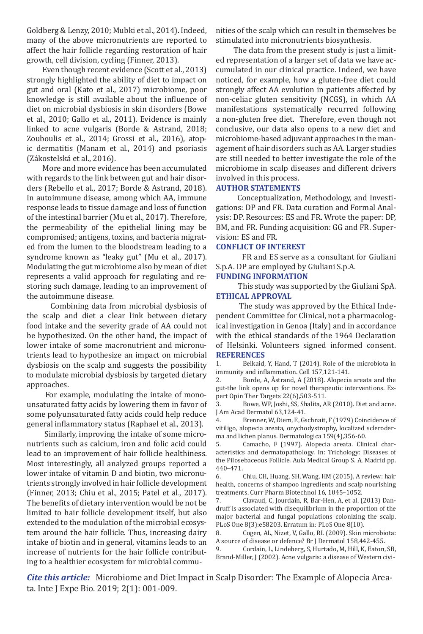Goldberg & Lenzy, 2010; Mubki et al., 2014). Indeed, many of the above micronutrients are reported to affect the hair follicle regarding restoration of hair growth, cell division, cycling (Finner, 2013).

 Even though recent evidence (Scott et al., 2013) strongly highlighted the ability of diet to impact on gut and oral (Kato et al., 2017) microbiome, poor knowledge is still available about the influence of diet on microbial dysbiosis in skin disorders (Bowe et al., 2010; Gallo et al., 2011). Evidence is mainly linked to acne vulgaris (Borde & Astrand, 2018; Zouboulis et al., 2014; Grossi et al., 2016), atopic dermatitis (Manam et al., 2014) and psoriasis (Zákostelská et al., 2016).

 More and more evidence has been accumulated with regards to the link between gut and hair disorders (Rebello et al., 2017; Borde & Astrand, 2018). In autoimmune disease, among which AA, immune response leads to tissue damage and loss of function of the intestinal barrier (Mu et al., 2017). Therefore, the permeability of the epithelial lining may be compromised; antigens, toxins, and bacteria migrated from the lumen to the bloodstream leading to a syndrome known as "leaky gut" (Mu et al., 2017). Modulating the gut microbiome also by mean of diet represents a valid approach for regulating and restoring such damage, leading to an improvement of the autoimmune disease.

 Combining data from microbial dysbiosis of the scalp and diet a clear link between dietary food intake and the severity grade of AA could not be hypothesized. On the other hand, the impact of lower intake of some macronutrient and micronutrients lead to hypothesize an impact on microbial dysbiosis on the scalp and suggests the possibility to modulate microbial dysbiosis by targeted dietary approaches.

 For example, modulating the intake of monounsaturated fatty acids by lowering them in favor of some polyunsaturated fatty acids could help reduce general inflammatory status (Raphael et al., 2013).

 Similarly, improving the intake of some micronutrients such as calcium, iron and folic acid could lead to an improvement of hair follicle healthiness. Most interestingly, all analyzed groups reported a lower intake of vitamin D and biotin, two micronutrients strongly involved in hair follicle development (Finner, 2013; Chiu et al., 2015; Patel et al., 2017). The benefits of dietary intervention would be not be limited to hair follicle development itself, but also extended to the modulation of the microbial ecosystem around the hair follicle. Thus, increasing dairy intake of biotin and in general, vitamins leads to an increase of nutrients for the hair follicle contributing to a healthier ecosystem for microbial communities of the scalp which can result in themselves be stimulated into micronutrients biosynthesis.

 The data from the present study is just a limited representation of a larger set of data we have accumulated in our clinical practice. Indeed, we have noticed, for example, how a gluten-free diet could strongly affect AA evolution in patients affected by non-celiac gluten sensitivity (NCGS), in which AA manifestations systematically recurred following a non-gluten free diet. Therefore, even though not conclusive, our data also opens to a new diet and microbiome-based adjuvant approaches in the management of hair disorders such as AA. Larger studies are still needed to better investigate the role of the microbiome in scalp diseases and different drivers involved in this process.

## **AUTHOR STATEMENTS**

Conceptualization, Methodology, and Investigations: DP and FR. Data curation and Formal Analysis: DP. Resources: ES and FR. Wrote the paper: DP, BM, and FR. Funding acquisition: GG and FR. Supervision: ES and FR.

#### **CONFLICT OF INTEREST**

FR and ES serve as a consultant for Giuliani S.p.A. DP are employed by Giuliani S.p.A.

#### **FUNDING INFORMATION**

This study was supported by the Giuliani SpA. **ETHICAL APPROVAL**

The study was approved by the Ethical Independent Committee for Clinical, not a pharmacological investigation in Genoa (Italy) and in accordance with the ethical standards of the 1964 Declaration of Helsinki. Volunteers signed informed consent. **REFERENCES**

1. Belkaid, Y, Hand, T (2014). Role of the microbiota in immunity and inflammation. Cell 157,121-141.<br>2. Borde. A. Åstrand. A (2018). Alonecia

Borde, A, Åstrand, A (2018). Alopecia areata and the gut-the link opens up for novel therapeutic interventions. Expert Opin Ther Targets 22(6),503-511.<br>3. Bowe, WP, Joshi, SS, Shalita, A

Bowe, WP, Joshi, SS, Shalita, AR (2010). Diet and acne. J Am Acad Dermatol 63,124-41.<br>4. Brenner, W, Diem, E, Gs.

Brenner, W, Diem, E, Gschnait, F (1979) Coincidence of vitiligo, alopecia areata, onychodystrophy, localized scleroderma and lichen planus. Dermatologica 159(4), 356-60.<br>5. Camacho, F (1997). Alopecia areata. Clin

5. Camacho, F (1997). Alopecia areata. Clinical characteristics and dermatopathology. In: Trichology: Diseases of the Pilosebaceous Follicle. Aula Medical Group S. A, Madrid pp. 440–471.

6. Chiu, CH, Huang, SH, Wang, HM (2015). A review: hair health, concerns of shampoo ingredients and scalp nourishing treatments. Curr Pharm Biotechnol 16, 1045–1052.

7. Clavaud, C, Jourdain, R, Bar-Hen, A, et al. (2013) Dandruff is associated with disequilibrium in the proportion of the major bacterial and fungal populations colonizing the scalp. PLoS One 8(3):e58203. Erratum in: PLoS One 8(10).

8. Cogen, AL, Nizet, V, Gallo, RL (2009). Skin microbiota: A source of disease or defence? Br J Dermatol 158,442-455.

9. Cordain, L, Lindeberg, S, Hurtado, M, Hill, K, Eaton, SB, Brand-Miller, J (2002). Acne vulgaris: a disease of Western civi-